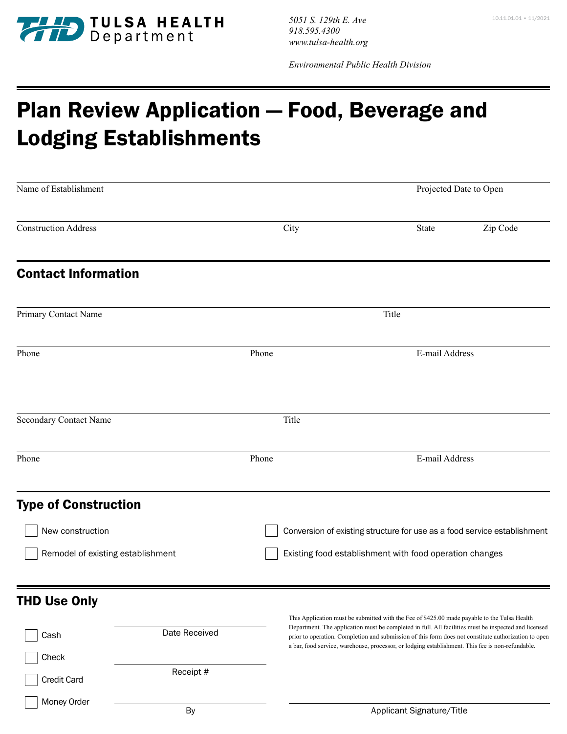

10.11.01.01 • 11/2021 *5051 S. 129th E. Ave 918.595.4300 www.tulsa-health.org*

*Environmental Public Health Division* 

## Plan Review Application — Food, Beverage and Lodging Establishments

| Name of Establishment             |                                                                          |                | Projected Date to Open |  |
|-----------------------------------|--------------------------------------------------------------------------|----------------|------------------------|--|
| <b>Construction Address</b>       | City                                                                     | State          | Zip Code               |  |
| <b>Contact Information</b>        |                                                                          |                |                        |  |
| Primary Contact Name              | Title                                                                    |                |                        |  |
| Phone                             | Phone                                                                    | E-mail Address |                        |  |
| Secondary Contact Name            | Title                                                                    |                |                        |  |
| Phone                             | Phone                                                                    |                | E-mail Address         |  |
| <b>Type of Construction</b>       |                                                                          |                |                        |  |
| New construction                  | Conversion of existing structure for use as a food service establishment |                |                        |  |
| Remodel of existing establishment | Existing food establishment with food operation changes                  |                |                        |  |
| <b>THD Use Only</b>               |                                                                          |                |                        |  |

| Cash                        | Date Received | This Application must be submitted with the Fee of \$425.00 made payable to the Tulsa Health<br>Department. The application must be completed in full. All facilities must be inspected and licensed<br>prior to operation. Completion and submission of this form does not constitute authorization to open<br>a bar, food service, warehouse, processor, or lodging establishment. This fee is non-refundable. |
|-----------------------------|---------------|------------------------------------------------------------------------------------------------------------------------------------------------------------------------------------------------------------------------------------------------------------------------------------------------------------------------------------------------------------------------------------------------------------------|
| Check<br><b>Credit Card</b> | Receipt #     |                                                                                                                                                                                                                                                                                                                                                                                                                  |
| Money Order                 | By            | Applicant Signature/Title                                                                                                                                                                                                                                                                                                                                                                                        |